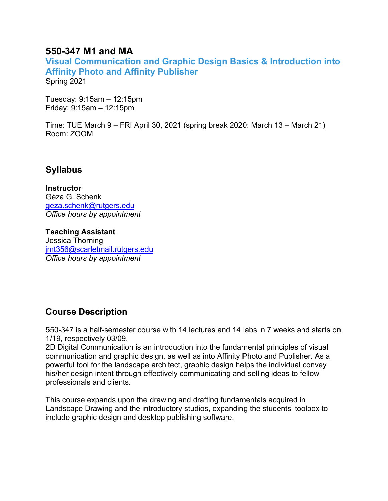### **550-347 M1 and MA**

**Visual Communication and Graphic Design Basics & Introduction into Affinity Photo and Affinity Publisher** Spring 2021

Tuesday: 9:15am – 12:15pm Friday: 9:15am – 12:15pm

Time: TUE March 9 – FRI April 30, 2021 (spring break 2020: March 13 – March 21) Room: ZOOM

## **Syllabus**

**Instructor** Géza G. Schenk [geza.schenk@rutgers.edu](mailto:geza.schenk@rutgers.edu) *Office hours by appointment*

**Teaching Assistant** Jessica Thorning [jmt356@scarletmail.rutgers.edu](mailto:jmt356@scarletmail.rutgers.edu) *Office hours by appointment*

### **Course Description**

550-347 is a half-semester course with 14 lectures and 14 labs in 7 weeks and starts on 1/19, respectively 03/09.

2D Digital Communication is an introduction into the fundamental principles of visual communication and graphic design, as well as into Affinity Photo and Publisher. As a powerful tool for the landscape architect, graphic design helps the individual convey his/her design intent through effectively communicating and selling ideas to fellow professionals and clients.

This course expands upon the drawing and drafting fundamentals acquired in Landscape Drawing and the introductory studios, expanding the students' toolbox to include graphic design and desktop publishing software.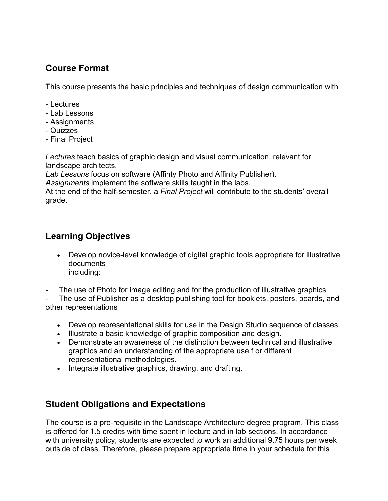### **Course Format**

This course presents the basic principles and techniques of design communication with

- Lectures
- Lab Lessons
- Assignments
- Quizzes
- Final Project

*Lectures* teach basics of graphic design and visual communication, relevant for landscape architects.

*Lab Lessons* focus on software (Affinty Photo and Affinity Publisher).

*Assignments* implement the software skills taught in the labs.

At the end of the half-semester, a *Final Project* will contribute to the students' overall grade.

### **Learning Objectives**

- Develop novice-level knowledge of digital graphic tools appropriate for illustrative documents including:
- The use of Photo for image editing and for the production of illustrative graphics

The use of Publisher as a desktop publishing tool for booklets, posters, boards, and other representations

- Develop representational skills for use in the Design Studio sequence of classes.
- Illustrate a basic knowledge of graphic composition and design.
- Demonstrate an awareness of the distinction between technical and illustrative graphics and an understanding of the appropriate use f or different representational methodologies.
- Integrate illustrative graphics, drawing, and drafting.

### **Student Obligations and Expectations**

The course is a pre-requisite in the Landscape Architecture degree program. This class is offered for 1.5 credits with time spent in lecture and in lab sections. In accordance with university policy, students are expected to work an additional 9.75 hours per week outside of class. Therefore, please prepare appropriate time in your schedule for this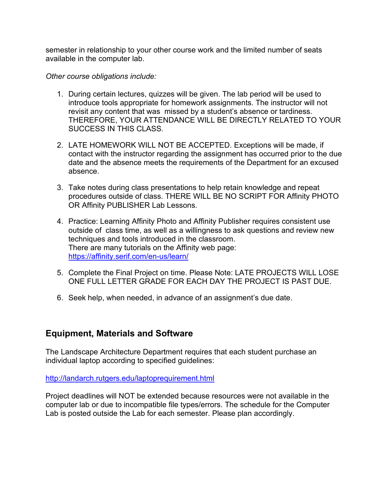semester in relationship to your other course work and the limited number of seats available in the computer lab.

#### *Other course obligations include:*

- 1. During certain lectures, quizzes will be given. The lab period will be used to introduce tools appropriate for homework assignments. The instructor will not revisit any content that was missed by a student's absence or tardiness. THEREFORE, YOUR ATTENDANCE WILL BE DIRECTLY RELATED TO YOUR SUCCESS IN THIS CLASS.
- 2. LATE HOMEWORK WILL NOT BE ACCEPTED. Exceptions will be made, if contact with the instructor regarding the assignment has occurred prior to the due date and the absence meets the requirements of the Department for an excused absence.
- 3. Take notes during class presentations to help retain knowledge and repeat procedures outside of class. THERE WILL BE NO SCRIPT FOR Affinity PHOTO OR Affinity PUBLISHER Lab Lessons.
- 4. Practice: Learning Affinity Photo and Affinity Publisher requires consistent use outside of class time, as well as a willingness to ask questions and review new techniques and tools introduced in the classroom. There are many tutorials on the Affinity web page: <https://affinity.serif.com/en-us/learn/>
- 5. Complete the Final Project on time. Please Note: LATE PROJECTS WILL LOSE ONE FULL LETTER GRADE FOR EACH DAY THE PROJECT IS PAST DUE.
- 6. Seek help, when needed, in advance of an assignment's due date.

### **Equipment, Materials and Software**

The Landscape Architecture Department requires that each student purchase an individual laptop according to specified guidelines:

<http://landarch.rutgers.edu/laptoprequirement.html>

Project deadlines will NOT be extended because resources were not available in the computer lab or due to incompatible file types/errors. The schedule for the Computer Lab is posted outside the Lab for each semester. Please plan accordingly.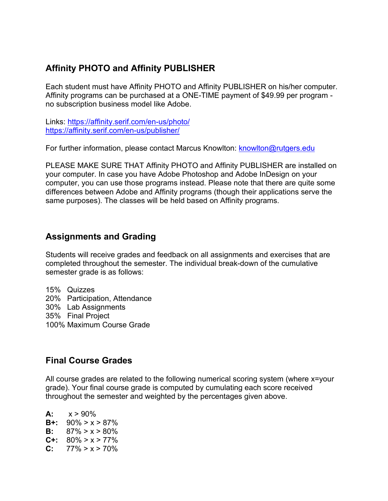## **Affinity PHOTO and Affinity PUBLISHER**

Each student must have Affinity PHOTO and Affinity PUBLISHER on his/her computer. Affinity programs can be purchased at a ONE-TIME payment of \$49.99 per program no subscription business model like Adobe.

Links:<https://affinity.serif.com/en-us/photo/> <https://affinity.serif.com/en-us/publisher/>

For further information, please contact Marcus Knowlton: [knowlton@rutgers.edu](mailto:knowlton@rutgers.edu)

PLEASE MAKE SURE THAT Affinity PHOTO and Affinity PUBLISHER are installed on your computer. In case you have Adobe Photoshop and Adobe InDesign on your computer, you can use those programs instead. Please note that there are quite some differences between Adobe and Affinity programs (though their applications serve the same purposes). The classes will be held based on Affinity programs.

### **Assignments and Grading**

Students will receive grades and feedback on all assignments and exercises that are completed throughout the semester. The individual break-down of the cumulative semester grade is as follows:

15% Quizzes 20% Participation, Attendance 30% Lab Assignments 35% Final Project 100% Maximum Course Grade

### **Final Course Grades**

All course grades are related to the following numerical scoring system (where x=your grade). Your final course grade is computed by cumulating each score received throughout the semester and weighted by the percentages given above.

 $A: x > 90\%$ **B+:** 90% > x > 87% **B:**  $87\% > x > 80\%$ **C+:**  $80\% > x > 77\%$ <br>**C:**  $77\% > x > 70\%$ **C:** 77% > x > 70%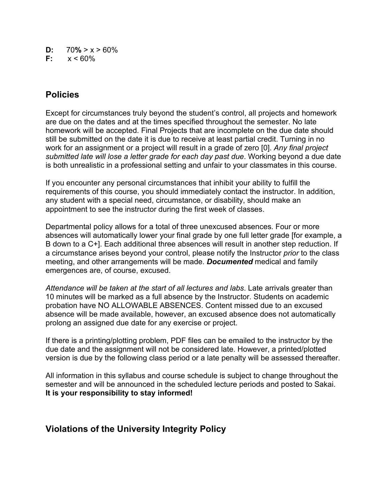- **D:**  $70\% > x > 60\%$ <br>**F:**  $x < 60\%$
- **F:** x < 60%

### **Policies**

Except for circumstances truly beyond the student's control, all projects and homework are due on the dates and at the times specified throughout the semester. No late homework will be accepted. Final Projects that are incomplete on the due date should still be submitted on the date it is due to receive at least partial credit. Turning in no work for an assignment or a project will result in a grade of zero [0]. *Any final project submitted late will lose a letter grade for each day past due*. Working beyond a due date is both unrealistic in a professional setting and unfair to your classmates in this course.

If you encounter any personal circumstances that inhibit your ability to fulfill the requirements of this course, you should immediately contact the instructor. In addition, any student with a special need, circumstance, or disability, should make an appointment to see the instructor during the first week of classes.

Departmental policy allows for a total of three unexcused absences. Four or more absences will automatically lower your final grade by one full letter grade [for example, a B down to a C+]. Each additional three absences will result in another step reduction. If a circumstance arises beyond your control, please notify the Instructor *prior* to the class meeting, and other arrangements will be made. *Documented* medical and family emergences are, of course, excused.

*Attendance will be taken at the start of all lectures and labs*. Late arrivals greater than 10 minutes will be marked as a full absence by the Instructor. Students on academic probation have NO ALLOWABLE ABSENCES. Content missed due to an excused absence will be made available, however, an excused absence does not automatically prolong an assigned due date for any exercise or project.

If there is a printing/plotting problem, PDF files can be emailed to the instructor by the due date and the assignment will not be considered late. However, a printed/plotted version is due by the following class period or a late penalty will be assessed thereafter.

All information in this syllabus and course schedule is subject to change throughout the semester and will be announced in the scheduled lecture periods and posted to Sakai. **It is your responsibility to stay informed!**

### **Violations of the University Integrity Policy**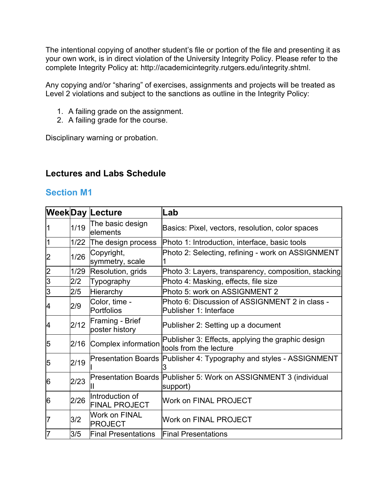The intentional copying of another student's file or portion of the file and presenting it as your own work, is in direct violation of the University Integrity Policy. Please refer to the complete Integrity Policy at: http://academicintegrity.rutgers.edu/integrity.shtml.

Any copying and/or "sharing" of exercises, assignments and projects will be treated as Level 2 violations and subject to the sanctions as outline in the Integrity Policy:

- 1. A failing grade on the assignment.
- 2. A failing grade for the course.

Disciplinary warning or probation.

### **Lectures and Labs Schedule**

#### **Section M1**

|                |      | <b>WeekDay Lecture</b>                  | Lab                                                                           |
|----------------|------|-----------------------------------------|-------------------------------------------------------------------------------|
|                | 1/19 | The basic design<br>lelements           | Basics: Pixel, vectors, resolution, color spaces                              |
|                | 1/22 | The design process                      | Photo 1: Introduction, interface, basic tools                                 |
| $\overline{2}$ | 1/26 | Copyright,<br>symmetry, scale           | Photo 2: Selecting, refining - work on ASSIGNMENT                             |
| $\overline{2}$ | 1/29 | Resolution, grids                       | Photo 3: Layers, transparency, composition, stacking                          |
| $\overline{3}$ | 2/2  | Typography                              | Photo 4: Masking, effects, file size                                          |
| 3              | 2/5  | Hierarchy                               | Photo 5: work on ASSIGNMENT 2                                                 |
| 4              | 2/9  | Color, time -<br>Portfolios             | Photo 6: Discussion of ASSIGNMENT 2 in class -<br>Publisher 1: Interface      |
| 4              | 2/12 | Framing - Brief<br>poster history       | Publisher 2: Setting up a document                                            |
| 5              | 2/16 | Complex information                     | Publisher 3: Effects, applying the graphic design<br>tools from the lecture   |
| 5              | 2/19 |                                         | Presentation Boards Publisher 4: Typography and styles - ASSIGNMENT           |
| 6              | 2/23 |                                         | Presentation Boards Publisher 5: Work on ASSIGNMENT 3 (individual<br>support) |
| 6              | 2/26 | Introduction of<br><b>FINAL PROJECT</b> | <b>Work on FINAL PROJECT</b>                                                  |
| 7              | 3/2  | Work on FINAL<br>PROJECT                | <b>Work on FINAL PROJECT</b>                                                  |
| 17             | 3/5  | <b>Final Presentations</b>              | <b>Final Presentations</b>                                                    |